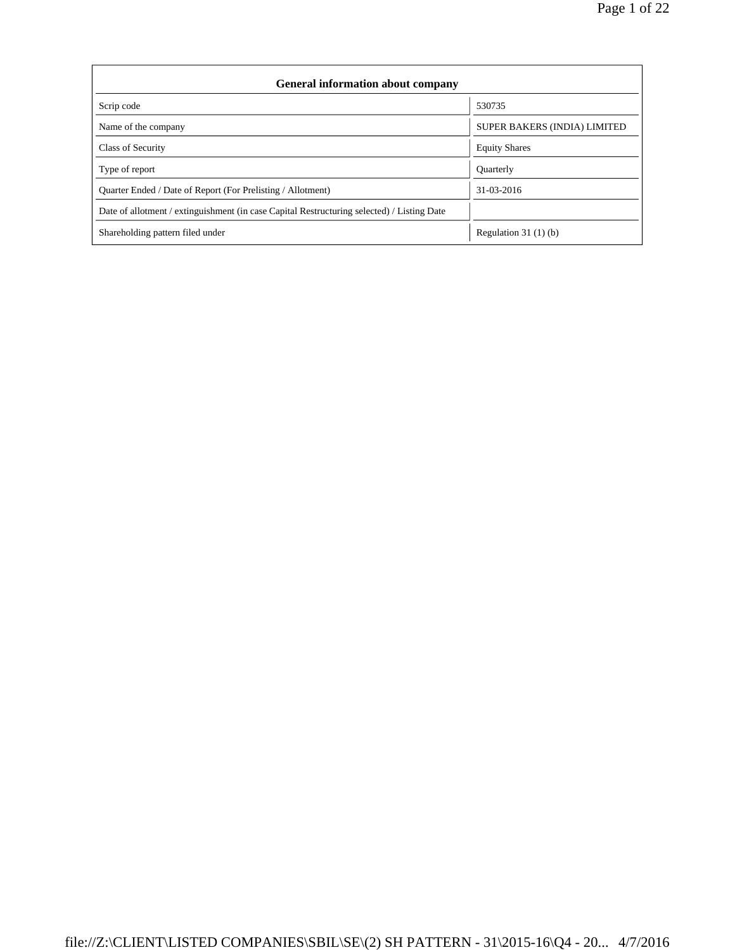| General information about company                                                          |                              |  |  |  |  |  |  |
|--------------------------------------------------------------------------------------------|------------------------------|--|--|--|--|--|--|
| Scrip code                                                                                 | 530735                       |  |  |  |  |  |  |
| Name of the company                                                                        | SUPER BAKERS (INDIA) LIMITED |  |  |  |  |  |  |
| Class of Security                                                                          | <b>Equity Shares</b>         |  |  |  |  |  |  |
| Type of report                                                                             | Ouarterly                    |  |  |  |  |  |  |
| Quarter Ended / Date of Report (For Prelisting / Allotment)                                | 31-03-2016                   |  |  |  |  |  |  |
| Date of allotment / extinguishment (in case Capital Restructuring selected) / Listing Date |                              |  |  |  |  |  |  |
| Shareholding pattern filed under                                                           | Regulation $31(1)(b)$        |  |  |  |  |  |  |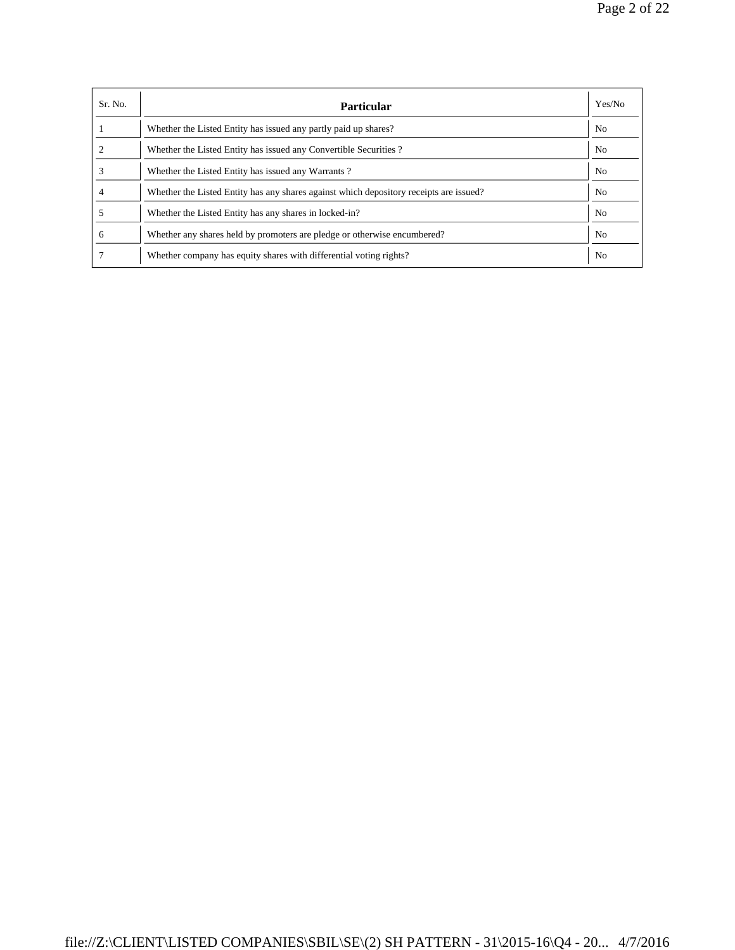| Sr. No.      | Particular                                                                             | Yes/No         |
|--------------|----------------------------------------------------------------------------------------|----------------|
|              | Whether the Listed Entity has issued any partly paid up shares?                        | N <sub>0</sub> |
|              | Whether the Listed Entity has issued any Convertible Securities?                       | N <sub>o</sub> |
|              | Whether the Listed Entity has issued any Warrants?                                     | N <sub>o</sub> |
|              | Whether the Listed Entity has any shares against which depository receipts are issued? | N <sub>o</sub> |
|              | Whether the Listed Entity has any shares in locked-in?                                 | N <sub>0</sub> |
| <sub>(</sub> | Whether any shares held by promoters are pledge or otherwise encumbered?               | N <sub>0</sub> |
|              | Whether company has equity shares with differential voting rights?                     | No             |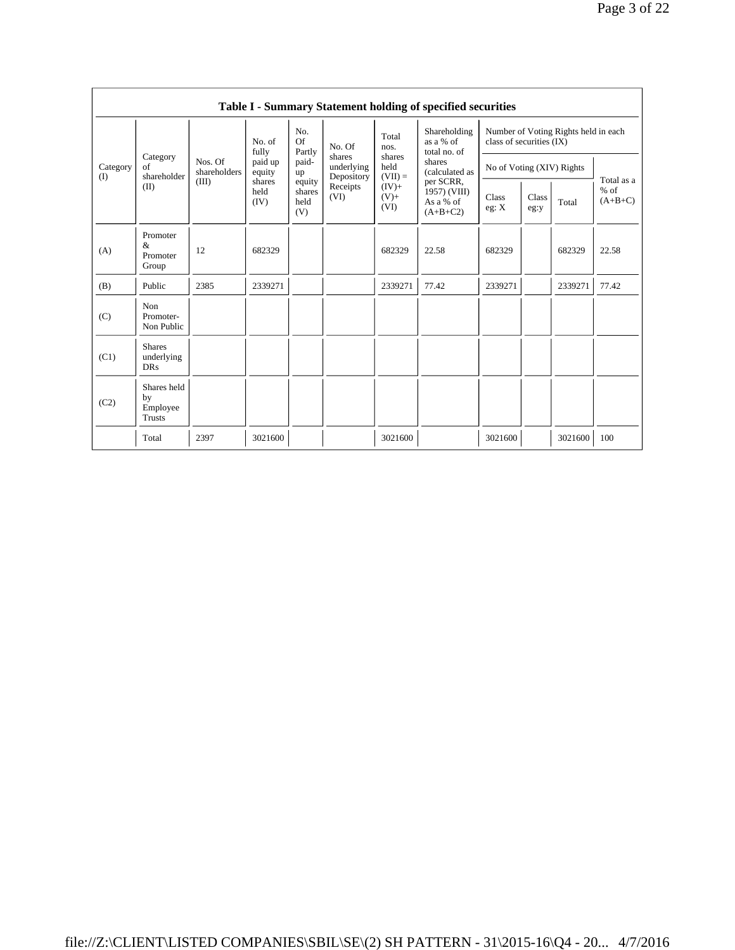|                          | Table I - Summary Statement holding of specified securities |                                           |                        |                                 |                                    |                                                                             |                                                                                                                               |                                                                  |               |         |                                   |
|--------------------------|-------------------------------------------------------------|-------------------------------------------|------------------------|---------------------------------|------------------------------------|-----------------------------------------------------------------------------|-------------------------------------------------------------------------------------------------------------------------------|------------------------------------------------------------------|---------------|---------|-----------------------------------|
| Category<br>$($ $\Gamma$ | Category<br>of<br>shareholder<br>(II)                       | fully<br>Nos. Of<br>shareholders<br>(III) | No. of                 | No.<br>Of<br>Partly             | No. Of                             | Total<br>nos.<br>shares<br>held<br>$(VII) =$<br>$(IV)$ +<br>$(V)$ +<br>(VI) | Shareholding<br>as a % of<br>total no. of<br>shares<br>(calculated as<br>per SCRR,<br>1957) (VIII)<br>As a % of<br>$(A+B+C2)$ | Number of Voting Rights held in each<br>class of securities (IX) |               |         |                                   |
|                          |                                                             |                                           | paid up<br>equity      | paid-<br>up                     | shares<br>underlying<br>Depository |                                                                             |                                                                                                                               | No of Voting (XIV) Rights                                        |               |         | Total as a<br>$%$ of<br>$(A+B+C)$ |
|                          |                                                             |                                           | shares<br>held<br>(IV) | equity<br>shares<br>held<br>(V) | Receipts<br>(VI)                   |                                                                             |                                                                                                                               | Class<br>eg: X                                                   | Class<br>eg:y | Total   |                                   |
| (A)                      | Promoter<br>&<br>Promoter<br>Group                          | 12                                        | 682329                 |                                 |                                    | 682329                                                                      | 22.58                                                                                                                         | 682329                                                           |               | 682329  | 22.58                             |
| (B)                      | Public                                                      | 2385                                      | 2339271                |                                 |                                    | 2339271                                                                     | 77.42                                                                                                                         | 2339271                                                          |               | 2339271 | 77.42                             |
| (C)                      | Non<br>Promoter-<br>Non Public                              |                                           |                        |                                 |                                    |                                                                             |                                                                                                                               |                                                                  |               |         |                                   |
| (C1)                     | <b>Shares</b><br>underlying<br><b>DRs</b>                   |                                           |                        |                                 |                                    |                                                                             |                                                                                                                               |                                                                  |               |         |                                   |
| (C2)                     | Shares held<br>by<br>Employee<br><b>Trusts</b>              |                                           |                        |                                 |                                    |                                                                             |                                                                                                                               |                                                                  |               |         |                                   |
|                          | Total                                                       | 2397                                      | 3021600                |                                 |                                    | 3021600                                                                     |                                                                                                                               | 3021600                                                          |               | 3021600 | 100                               |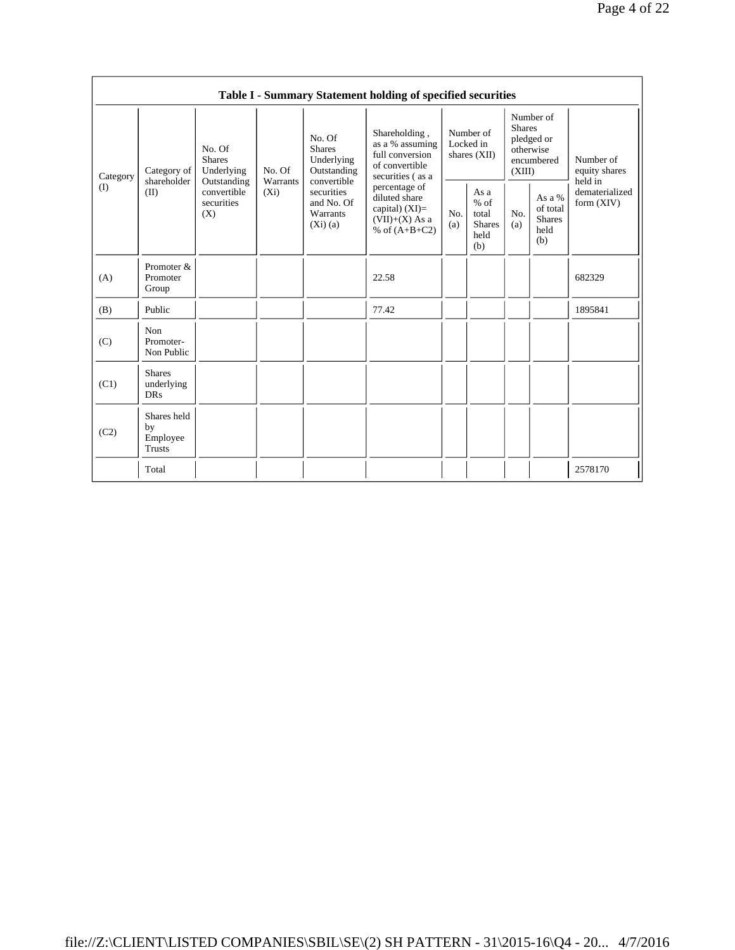|                 | Table I - Summary Statement holding of specified securities |                                                                                                                           |                                                                |                                                                                           |                                                                                           |                                                         |            |                                                                               |                                |                                       |
|-----------------|-------------------------------------------------------------|---------------------------------------------------------------------------------------------------------------------------|----------------------------------------------------------------|-------------------------------------------------------------------------------------------|-------------------------------------------------------------------------------------------|---------------------------------------------------------|------------|-------------------------------------------------------------------------------|--------------------------------|---------------------------------------|
| Category<br>(I) | Category of<br>shareholder<br>(II)                          | No. Of<br><b>Shares</b><br>Underlying<br>No. Of<br>Outstanding<br>Warrants<br>convertible<br>$(X_i)$<br>securities<br>(X) |                                                                | No. Of<br><b>Shares</b><br>Underlying<br>Outstanding                                      | Shareholding,<br>as a % assuming<br>full conversion<br>of convertible<br>securities (as a | Number of<br>Locked in<br>shares $(XII)$                |            | Number of<br><b>Shares</b><br>pledged or<br>otherwise<br>encumbered<br>(XIII) |                                | Number of<br>equity shares<br>held in |
|                 |                                                             |                                                                                                                           | convertible<br>securities<br>and No. Of<br>Warrants<br>(Xi)(a) | percentage of<br>diluted share<br>capital) $(XI)=$<br>$(VII)+(X)$ As a<br>% of $(A+B+C2)$ | No.<br>(a)                                                                                | As a<br>$%$ of<br>total<br><b>Shares</b><br>held<br>(b) | No.<br>(a) | As a %<br>of total<br><b>Shares</b><br>held<br>(b)                            | dematerialized<br>form $(XIV)$ |                                       |
| (A)             | Promoter &<br>Promoter<br>Group                             |                                                                                                                           |                                                                |                                                                                           | 22.58                                                                                     |                                                         |            |                                                                               |                                | 682329                                |
| (B)             | Public                                                      |                                                                                                                           |                                                                |                                                                                           | 77.42                                                                                     |                                                         |            |                                                                               |                                | 1895841                               |
| (C)             | Non<br>Promoter-<br>Non Public                              |                                                                                                                           |                                                                |                                                                                           |                                                                                           |                                                         |            |                                                                               |                                |                                       |
| (C1)            | <b>Shares</b><br>underlying<br><b>DRs</b>                   |                                                                                                                           |                                                                |                                                                                           |                                                                                           |                                                         |            |                                                                               |                                |                                       |
| (C2)            | Shares held<br>by<br>Employee<br>Trusts                     |                                                                                                                           |                                                                |                                                                                           |                                                                                           |                                                         |            |                                                                               |                                |                                       |
|                 | Total                                                       |                                                                                                                           |                                                                |                                                                                           |                                                                                           |                                                         |            |                                                                               |                                | 2578170                               |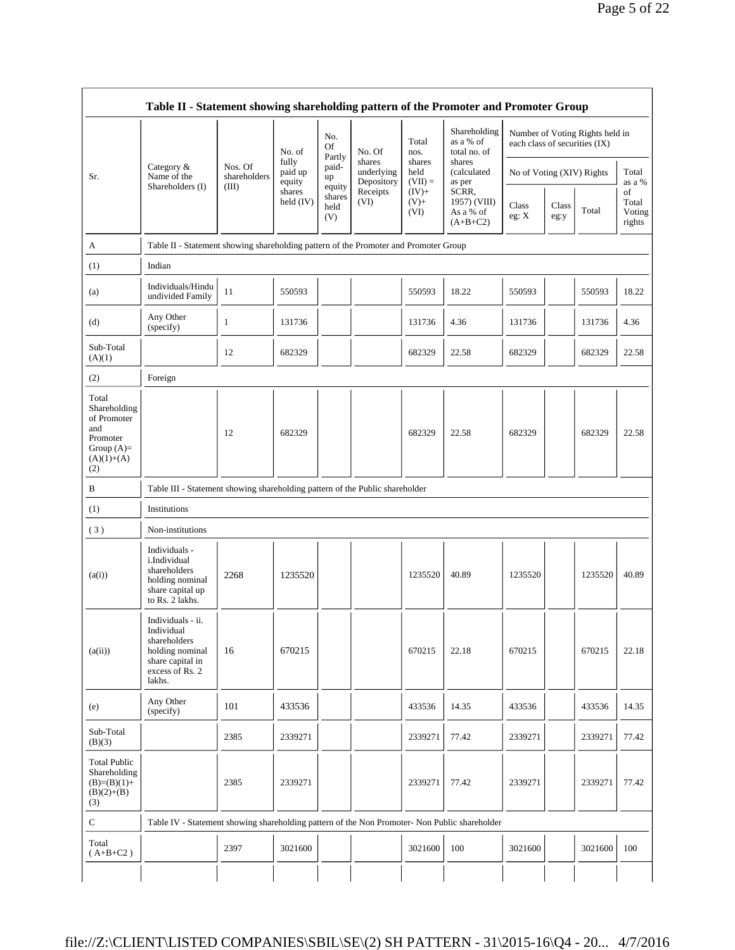|                                                                                                | Table II - Statement showing shareholding pattern of the Promoter and Promoter Group                                |                         |                                      |                                 |                                    |                             | Shareholding                                                                         |                                                                  |               |         |                                 |
|------------------------------------------------------------------------------------------------|---------------------------------------------------------------------------------------------------------------------|-------------------------|--------------------------------------|---------------------------------|------------------------------------|-----------------------------|--------------------------------------------------------------------------------------|------------------------------------------------------------------|---------------|---------|---------------------------------|
|                                                                                                |                                                                                                                     |                         | No. of<br>fully<br>paid up<br>equity | No.<br>Of<br>Partly             | No. Of                             | Total<br>nos.               | as a % of<br>total no. of                                                            | Number of Voting Rights held in<br>each class of securities (IX) |               |         |                                 |
| Sr.                                                                                            | Category &<br>Name of the                                                                                           | Nos. Of<br>shareholders |                                      | paid-<br>up                     | shares<br>underlying<br>Depository | shares<br>held<br>$(VII) =$ | shares<br>(calculated)<br>as per<br>SCRR,<br>1957) (VIII)<br>As a % of<br>$(A+B+C2)$ | No of Voting (XIV) Rights                                        |               |         | Total<br>as a %                 |
|                                                                                                | Shareholders (I)                                                                                                    | (III)                   | shares<br>held $(IV)$                | equity<br>shares<br>held<br>(V) | Receipts<br>(VI)                   | $(IV)$ +<br>$(V)$ +<br>(VI) |                                                                                      | Class<br>eg: X                                                   | Class<br>eg:y | Total   | of<br>Total<br>Voting<br>rights |
| A                                                                                              | Table II - Statement showing shareholding pattern of the Promoter and Promoter Group                                |                         |                                      |                                 |                                    |                             |                                                                                      |                                                                  |               |         |                                 |
| (1)                                                                                            | Indian                                                                                                              |                         |                                      |                                 |                                    |                             |                                                                                      |                                                                  |               |         |                                 |
| (a)                                                                                            | Individuals/Hindu<br>undivided Family                                                                               | 11                      | 550593                               |                                 |                                    | 550593                      | 18.22                                                                                | 550593                                                           |               | 550593  | 18.22                           |
| (d)                                                                                            | Any Other<br>(specify)                                                                                              | $\mathbf{1}$            | 131736                               |                                 |                                    | 131736                      | 4.36                                                                                 | 131736                                                           |               | 131736  | 4.36                            |
| Sub-Total<br>(A)(1)                                                                            |                                                                                                                     | 12                      | 682329                               |                                 |                                    | 682329                      | 22.58                                                                                | 682329                                                           |               | 682329  | 22.58                           |
| (2)                                                                                            | Foreign                                                                                                             |                         |                                      |                                 |                                    |                             |                                                                                      |                                                                  |               |         |                                 |
| Total<br>Shareholding<br>of Promoter<br>and<br>Promoter<br>Group $(A)=$<br>$(A)(1)+(A)$<br>(2) |                                                                                                                     | 12                      | 682329                               |                                 |                                    | 682329                      | 22.58                                                                                | 682329                                                           |               | 682329  | 22.58                           |
| B                                                                                              | Table III - Statement showing shareholding pattern of the Public shareholder                                        |                         |                                      |                                 |                                    |                             |                                                                                      |                                                                  |               |         |                                 |
| (1)                                                                                            | Institutions                                                                                                        |                         |                                      |                                 |                                    |                             |                                                                                      |                                                                  |               |         |                                 |
| (3)                                                                                            | Non-institutions                                                                                                    |                         |                                      |                                 |                                    |                             |                                                                                      |                                                                  |               |         |                                 |
| (a(i))                                                                                         | Individuals -<br>i.Individual<br>shareholders<br>holding nominal<br>share capital up<br>to Rs. 2 lakhs.             | 2268                    | 1235520                              |                                 |                                    | 1235520                     | 40.89                                                                                | 1235520                                                          |               | 1235520 | 40.89                           |
| (a(ii))                                                                                        | Individuals - ii.<br>Individual<br>shareholders<br>holding nominal<br>share capital in<br>excess of Rs. 2<br>lakhs. | 16                      | 670215                               |                                 |                                    | 670215                      | 22.18                                                                                | 670215                                                           |               | 670215  | 22.18                           |
| (e)                                                                                            | Any Other<br>(specify)                                                                                              | 101                     | 433536                               |                                 |                                    | 433536                      | 14.35                                                                                | 433536                                                           |               | 433536  | 14.35                           |
| Sub-Total<br>(B)(3)                                                                            |                                                                                                                     | 2385                    | 2339271                              |                                 |                                    | 2339271                     | 77.42                                                                                | 2339271                                                          |               | 2339271 | 77.42                           |
| <b>Total Public</b><br>Shareholding<br>$(B)=(B)(1)+$<br>$(B)(2)+(B)$<br>(3)                    |                                                                                                                     | 2385                    | 2339271                              |                                 |                                    | 2339271                     | 77.42                                                                                | 2339271                                                          |               | 2339271 | 77.42                           |
| ${\bf C}$                                                                                      | Table IV - Statement showing shareholding pattern of the Non Promoter- Non Public shareholder                       |                         |                                      |                                 |                                    |                             |                                                                                      |                                                                  |               |         |                                 |
| Total<br>$(A+B+C2)$                                                                            |                                                                                                                     | 2397                    | 3021600                              |                                 |                                    | 3021600                     | 100                                                                                  | 3021600                                                          |               | 3021600 | 100                             |
|                                                                                                |                                                                                                                     |                         |                                      |                                 |                                    |                             |                                                                                      |                                                                  |               |         |                                 |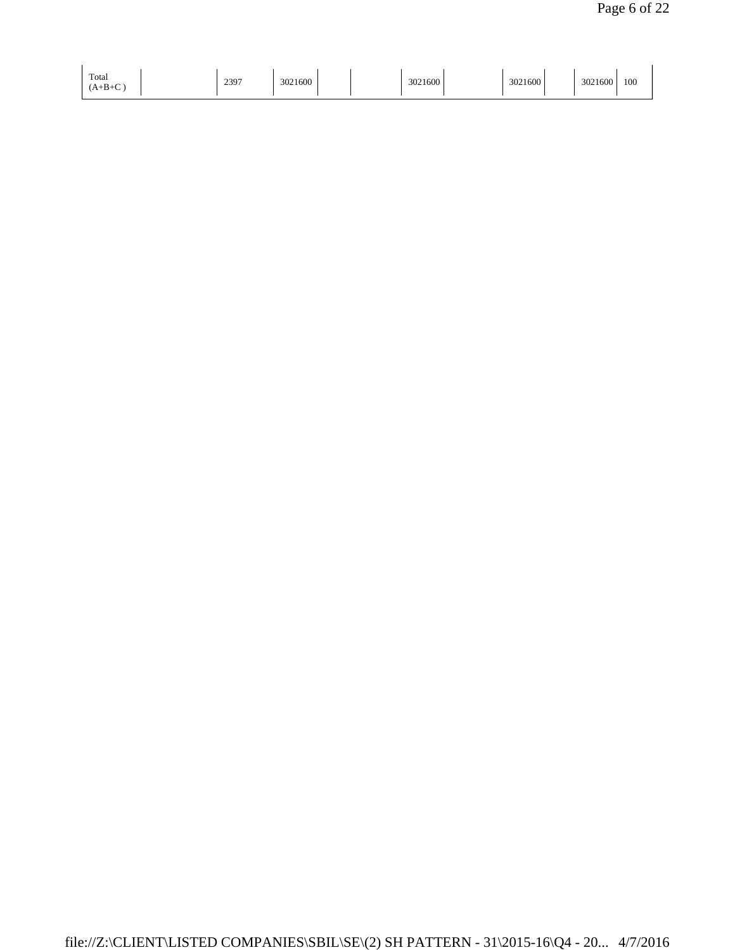| Total<br>$_{\rm{R}_{\perp}}$<br>,∡ 1⊤LJ⊤\ | 2397 | 500<br>$\Delta$<br>21 OUU | 3021600 | 3021600 | 3021600 | 100 |
|-------------------------------------------|------|---------------------------|---------|---------|---------|-----|
|                                           |      |                           |         |         |         |     |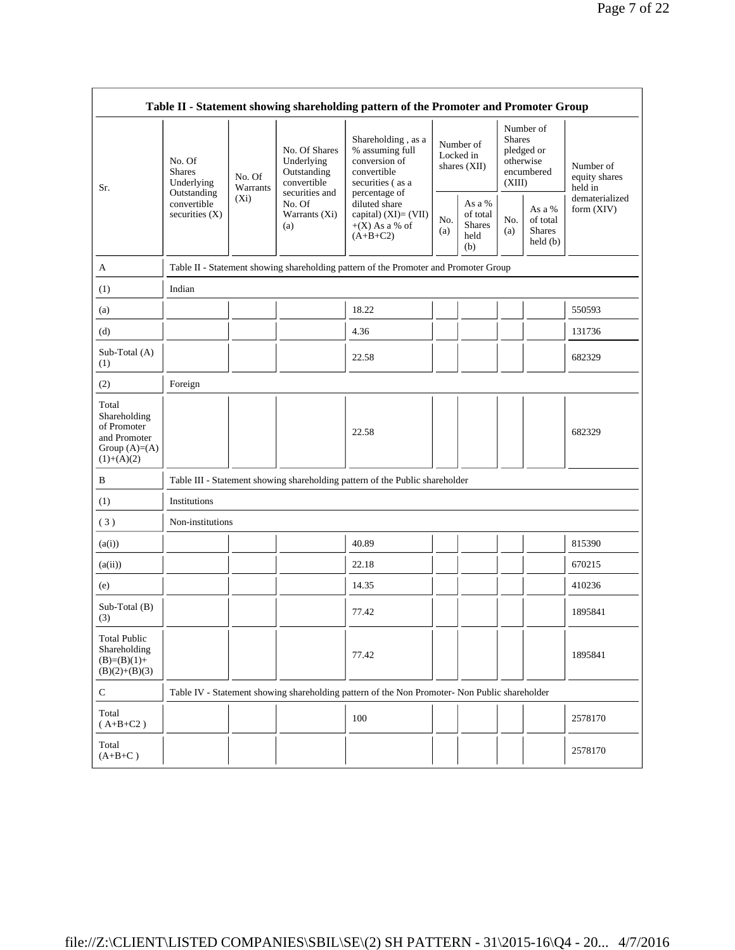|                                                                                         | Table II - Statement showing shareholding pattern of the Promoter and Promoter Group    |                                                                                      |                                                           |                                                                                               |            |                                                    |            |                                                                               |                                       |  |
|-----------------------------------------------------------------------------------------|-----------------------------------------------------------------------------------------|--------------------------------------------------------------------------------------|-----------------------------------------------------------|-----------------------------------------------------------------------------------------------|------------|----------------------------------------------------|------------|-------------------------------------------------------------------------------|---------------------------------------|--|
| Sr.                                                                                     | No. Of<br><b>Shares</b><br>Underlying<br>Outstanding<br>convertible<br>securities $(X)$ | No. Of<br>Warrants                                                                   | No. Of Shares<br>Underlying<br>Outstanding<br>convertible | Shareholding, as a<br>% assuming full<br>conversion of<br>convertible<br>securities (as a     |            | Number of<br>Locked in<br>shares $(XII)$           |            | Number of<br><b>Shares</b><br>pledged or<br>otherwise<br>encumbered<br>(XIII) | Number of<br>equity shares<br>held in |  |
|                                                                                         |                                                                                         | securities and<br>$(X_i)$<br>No. Of<br>Warrants (Xi)<br>(a)                          |                                                           | percentage of<br>diluted share<br>capital) (XI)= (VII)<br>$+(X)$ As a % of<br>$(A+B+C2)$      | No.<br>(a) | As a %<br>of total<br><b>Shares</b><br>held<br>(b) | No.<br>(a) | As a %<br>of total<br><b>Shares</b><br>held(b)                                | dematerialized<br>form (XIV)          |  |
| A                                                                                       |                                                                                         | Table II - Statement showing shareholding pattern of the Promoter and Promoter Group |                                                           |                                                                                               |            |                                                    |            |                                                                               |                                       |  |
| (1)                                                                                     | Indian                                                                                  |                                                                                      |                                                           |                                                                                               |            |                                                    |            |                                                                               |                                       |  |
| (a)                                                                                     |                                                                                         |                                                                                      |                                                           | 18.22                                                                                         |            |                                                    |            |                                                                               | 550593                                |  |
| (d)                                                                                     |                                                                                         |                                                                                      |                                                           | 4.36                                                                                          |            |                                                    |            |                                                                               | 131736                                |  |
| Sub-Total (A)<br>(1)                                                                    |                                                                                         |                                                                                      |                                                           | 22.58                                                                                         |            |                                                    |            |                                                                               | 682329                                |  |
| (2)                                                                                     | Foreign                                                                                 |                                                                                      |                                                           |                                                                                               |            |                                                    |            |                                                                               |                                       |  |
| Total<br>Shareholding<br>of Promoter<br>and Promoter<br>Group $(A)=(A)$<br>$(1)+(A)(2)$ |                                                                                         |                                                                                      |                                                           | 22.58                                                                                         |            |                                                    |            |                                                                               | 682329                                |  |
| B                                                                                       |                                                                                         |                                                                                      |                                                           | Table III - Statement showing shareholding pattern of the Public shareholder                  |            |                                                    |            |                                                                               |                                       |  |
| (1)                                                                                     | Institutions                                                                            |                                                                                      |                                                           |                                                                                               |            |                                                    |            |                                                                               |                                       |  |
| (3)                                                                                     | Non-institutions                                                                        |                                                                                      |                                                           |                                                                                               |            |                                                    |            |                                                                               |                                       |  |
| (a(i))                                                                                  |                                                                                         |                                                                                      |                                                           | 40.89                                                                                         |            |                                                    |            |                                                                               | 815390                                |  |
| (a(ii))                                                                                 |                                                                                         |                                                                                      |                                                           | 22.18                                                                                         |            |                                                    |            |                                                                               | 670215                                |  |
| (e)                                                                                     |                                                                                         |                                                                                      |                                                           | 14.35                                                                                         |            |                                                    |            |                                                                               | 410236                                |  |
| Sub-Total (B)<br>(3)                                                                    |                                                                                         |                                                                                      |                                                           | 77.42                                                                                         |            |                                                    |            |                                                                               | 1895841                               |  |
| <b>Total Public</b><br>Shareholding<br>$(B)=(B)(1)+$<br>$(B)(2)+(B)(3)$                 |                                                                                         |                                                                                      |                                                           | 77.42                                                                                         |            |                                                    |            |                                                                               | 1895841                               |  |
| C                                                                                       |                                                                                         |                                                                                      |                                                           | Table IV - Statement showing shareholding pattern of the Non Promoter- Non Public shareholder |            |                                                    |            |                                                                               |                                       |  |
| Total<br>$(A+B+C2)$                                                                     |                                                                                         |                                                                                      |                                                           | 100                                                                                           |            |                                                    |            |                                                                               | 2578170                               |  |
| Total<br>$(A+B+C)$                                                                      |                                                                                         |                                                                                      |                                                           |                                                                                               |            |                                                    |            |                                                                               | 2578170                               |  |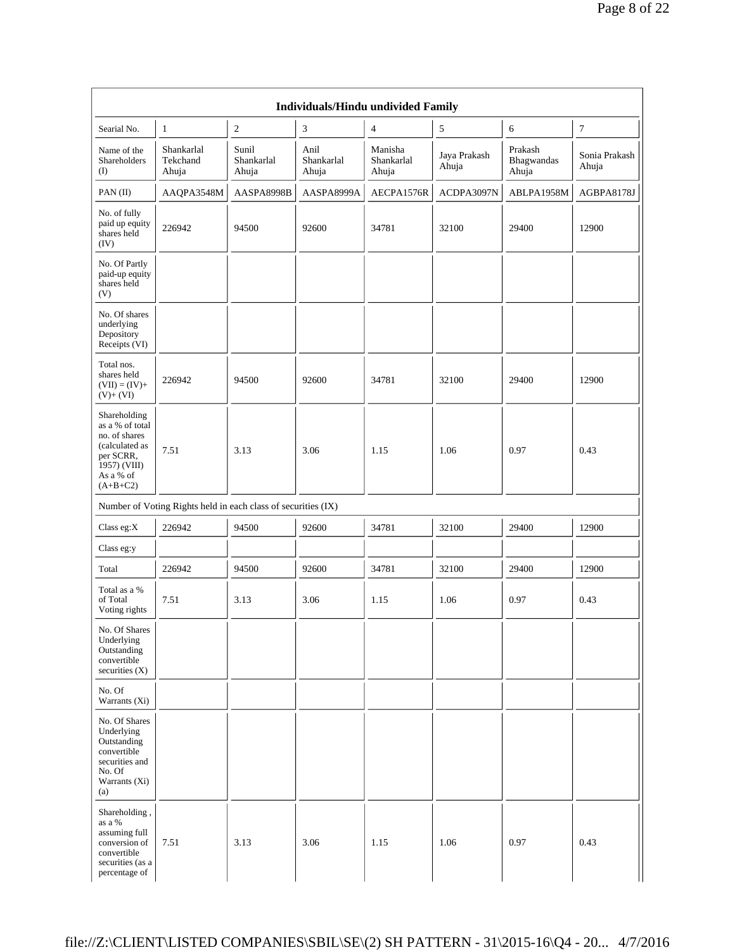|                                                                                                                              | <b>Individuals/Hindu undivided Family</b>                     |                              |                             |                                |                       |                                |                        |  |  |
|------------------------------------------------------------------------------------------------------------------------------|---------------------------------------------------------------|------------------------------|-----------------------------|--------------------------------|-----------------------|--------------------------------|------------------------|--|--|
| Searial No.                                                                                                                  | $\mathbf{1}$                                                  | $\mathfrak{2}$               | 3                           | 4                              | 5                     | 6                              | 7                      |  |  |
| Name of the<br>Shareholders<br>(                                                                                             | Shankarlal<br>Tekchand<br>Ahuja                               | Sunil<br>Shankarlal<br>Ahuja | Anil<br>Shankarlal<br>Ahuja | Manisha<br>Shankarlal<br>Ahuja | Jaya Prakash<br>Ahuja | Prakash<br>Bhagwandas<br>Ahuja | Sonia Prakash<br>Ahuja |  |  |
| PAN(II)                                                                                                                      | AAQPA3548M                                                    | AASPA8998B                   | AASPA8999A                  | AECPA1576R                     | ACDPA3097N            | ABLPA1958M                     | AGBPA8178J             |  |  |
| No. of fully<br>paid up equity<br>shares held<br>(IV)                                                                        | 226942                                                        | 94500                        | 92600                       | 34781                          | 32100                 | 29400                          | 12900                  |  |  |
| No. Of Partly<br>paid-up equity<br>shares held<br>(V)                                                                        |                                                               |                              |                             |                                |                       |                                |                        |  |  |
| No. Of shares<br>underlying<br>Depository<br>Receipts (VI)                                                                   |                                                               |                              |                             |                                |                       |                                |                        |  |  |
| Total nos.<br>shares held<br>$(VII) = (IV) +$<br>$(V)+(VI)$                                                                  | 226942                                                        | 94500                        | 92600                       | 34781                          | 32100                 | 29400                          | 12900                  |  |  |
| Shareholding<br>as a % of total<br>no. of shares<br>(calculated as<br>per SCRR,<br>$1957)$ (VIII)<br>As a % of<br>$(A+B+C2)$ | 7.51                                                          | 3.13                         | 3.06                        | 1.15                           | 1.06                  | 0.97                           | 0.43                   |  |  |
|                                                                                                                              | Number of Voting Rights held in each class of securities (IX) |                              |                             |                                |                       |                                |                        |  |  |
| Class eg:X                                                                                                                   | 226942                                                        | 94500                        | 92600                       | 34781                          | 32100                 | 29400                          | 12900                  |  |  |
| Class eg:y                                                                                                                   |                                                               |                              |                             |                                |                       |                                |                        |  |  |
| Total                                                                                                                        | 226942                                                        | 94500                        | 92600                       | 34781                          | 32100                 | 29400                          | 12900                  |  |  |
| Total as a %<br>of Total<br>Voting rights                                                                                    | 7.51                                                          | 3.13                         | 3.06                        | 1.15                           | 1.06                  | 0.97                           | 0.43                   |  |  |
| No. Of Shares<br>Underlying<br>Outstanding<br>convertible<br>securities $(X)$                                                |                                                               |                              |                             |                                |                       |                                |                        |  |  |
| No. Of<br>Warrants (Xi)                                                                                                      |                                                               |                              |                             |                                |                       |                                |                        |  |  |
| No. Of Shares<br>Underlying<br>Outstanding<br>convertible<br>securities and<br>No. Of<br>Warrants (Xi)<br>(a)                |                                                               |                              |                             |                                |                       |                                |                        |  |  |
| Shareholding,<br>as a %<br>assuming full<br>conversion of<br>convertible<br>securities (as a<br>percentage of                | 7.51                                                          | 3.13                         | 3.06                        | 1.15                           | 1.06                  | 0.97                           | 0.43                   |  |  |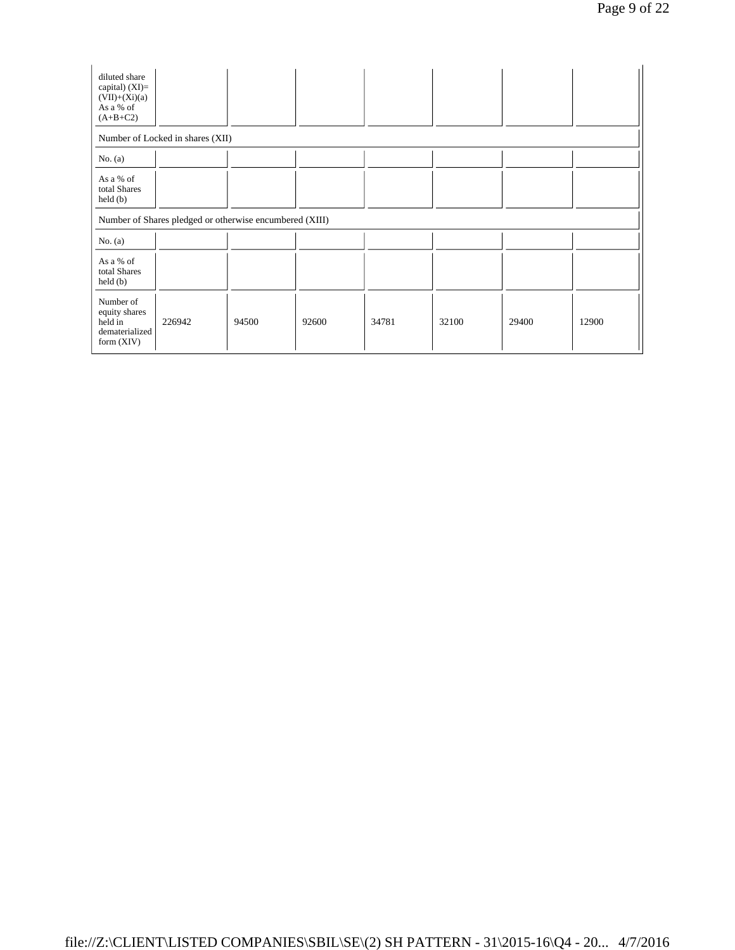| diluted share<br>capital) $(XI)=$<br>$(VII)+(Xi)(a)$<br>As a % of<br>$(A+B+C2)$ |                                                         |       |       |       |       |       |       |
|---------------------------------------------------------------------------------|---------------------------------------------------------|-------|-------|-------|-------|-------|-------|
|                                                                                 | Number of Locked in shares (XII)                        |       |       |       |       |       |       |
| No. $(a)$                                                                       |                                                         |       |       |       |       |       |       |
| As a % of<br>total Shares<br>$\text{held}(\text{b})$                            |                                                         |       |       |       |       |       |       |
|                                                                                 | Number of Shares pledged or otherwise encumbered (XIII) |       |       |       |       |       |       |
| No. $(a)$                                                                       |                                                         |       |       |       |       |       |       |
| As a % of<br>total Shares<br>$\text{held}(\text{b})$                            |                                                         |       |       |       |       |       |       |
| Number of<br>equity shares<br>held in<br>dematerialized<br>form $(XIV)$         | 226942                                                  | 94500 | 92600 | 34781 | 32100 | 29400 | 12900 |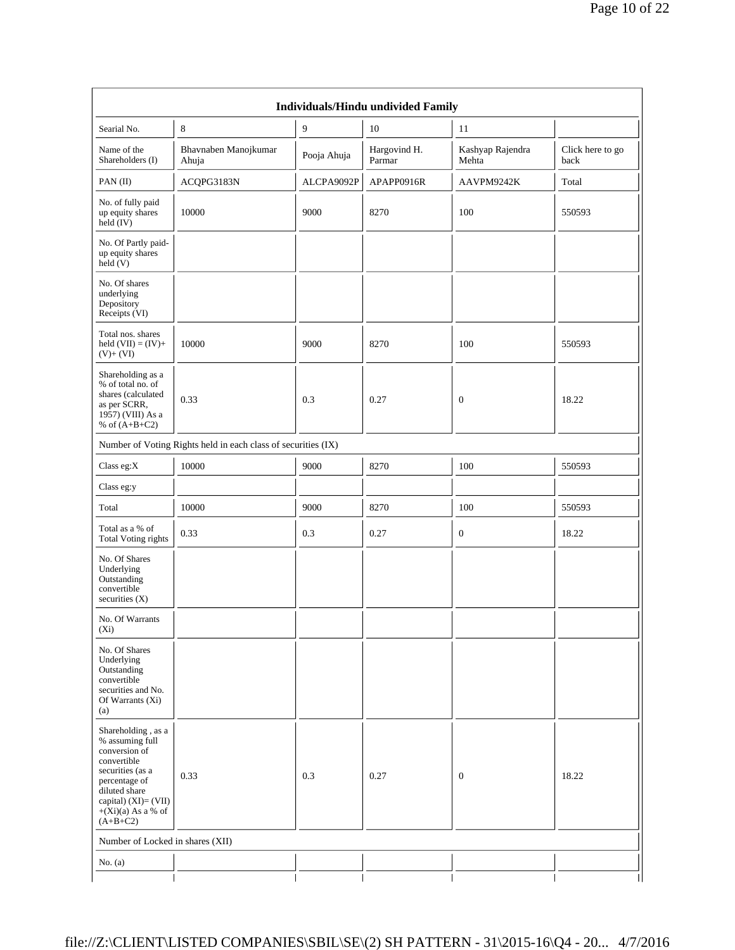| Individuals/Hindu undivided Family                                                                                                                                                           |                               |             |                        |                           |                          |  |  |  |  |
|----------------------------------------------------------------------------------------------------------------------------------------------------------------------------------------------|-------------------------------|-------------|------------------------|---------------------------|--------------------------|--|--|--|--|
| Searial No.                                                                                                                                                                                  | 8                             | 9           | 10                     | 11                        |                          |  |  |  |  |
| Name of the<br>Shareholders (I)                                                                                                                                                              | Bhavnaben Manojkumar<br>Ahuja | Pooja Ahuja | Hargovind H.<br>Parmar | Kashyap Rajendra<br>Mehta | Click here to go<br>back |  |  |  |  |
| PAN(II)                                                                                                                                                                                      | ACQPG3183N                    | ALCPA9092P  | APAPP0916R             | AAVPM9242K                | Total                    |  |  |  |  |
| No. of fully paid<br>up equity shares<br>held (IV)                                                                                                                                           | 10000                         | 9000        | 8270                   | 100                       | 550593                   |  |  |  |  |
| No. Of Partly paid-<br>up equity shares<br>held(V)                                                                                                                                           |                               |             |                        |                           |                          |  |  |  |  |
| No. Of shares<br>underlying<br>Depository<br>Receipts (VI)                                                                                                                                   |                               |             |                        |                           |                          |  |  |  |  |
| Total nos. shares<br>held $(VII) = (IV) +$<br>$(V)+(VI)$                                                                                                                                     | 10000                         | 9000        | 8270                   | 100                       | 550593                   |  |  |  |  |
| Shareholding as a<br>% of total no. of<br>shares (calculated<br>as per SCRR,<br>1957) (VIII) As a<br>% of $(A+B+C2)$                                                                         | 0.33                          | 0.3         | 0.27                   | $\boldsymbol{0}$          | 18.22                    |  |  |  |  |
| Number of Voting Rights held in each class of securities (IX)                                                                                                                                |                               |             |                        |                           |                          |  |  |  |  |
| Class eg: $X$                                                                                                                                                                                | 10000                         | 9000        | 8270                   | 100                       | 550593                   |  |  |  |  |
| Class eg:y                                                                                                                                                                                   |                               |             |                        |                           |                          |  |  |  |  |
| Total                                                                                                                                                                                        | 10000                         | 9000        | 8270                   | 100                       | 550593                   |  |  |  |  |
| Total as a % of<br><b>Total Voting rights</b>                                                                                                                                                | 0.33                          | 0.3         | 0.27                   | $\boldsymbol{0}$          | 18.22                    |  |  |  |  |
| No. Of Shares<br>Underlying<br>Outstanding<br>convertible<br>securities $(X)$                                                                                                                |                               |             |                        |                           |                          |  |  |  |  |
| No. Of Warrants<br>$(X_i)$                                                                                                                                                                   |                               |             |                        |                           |                          |  |  |  |  |
| No. Of Shares<br>Underlying<br>Outstanding<br>convertible<br>securities and No.<br>Of Warrants (Xi)<br>(a)                                                                                   |                               |             |                        |                           |                          |  |  |  |  |
| Shareholding, as a<br>% assuming full<br>conversion of<br>convertible<br>securities (as a<br>percentage of<br>diluted share<br>capital) $(XI) = (VII)$<br>$+(Xi)(a)$ As a % of<br>$(A+B+C2)$ | 0.33                          | 0.3         | 0.27                   | $\mathbf{0}$              | 18.22                    |  |  |  |  |
| Number of Locked in shares (XII)                                                                                                                                                             |                               |             |                        |                           |                          |  |  |  |  |
| No. $(a)$                                                                                                                                                                                    |                               |             |                        |                           |                          |  |  |  |  |
|                                                                                                                                                                                              |                               |             |                        |                           |                          |  |  |  |  |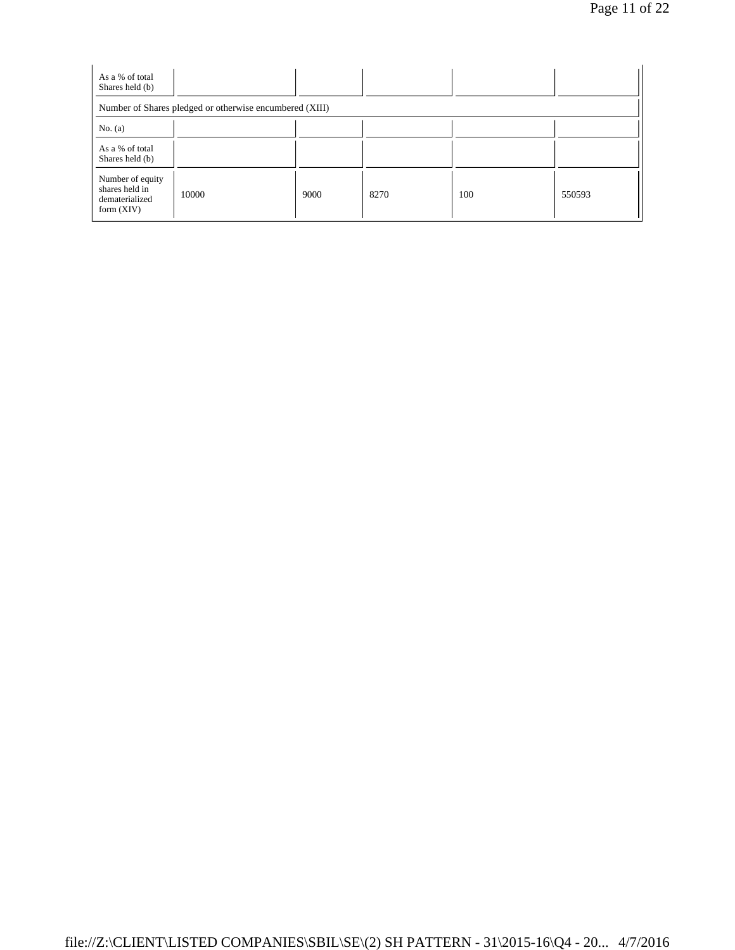| As a % of total<br>Shares held (b)                                   |                                                         |      |      |     |        |
|----------------------------------------------------------------------|---------------------------------------------------------|------|------|-----|--------|
|                                                                      | Number of Shares pledged or otherwise encumbered (XIII) |      |      |     |        |
| No. $(a)$                                                            |                                                         |      |      |     |        |
| As a % of total<br>Shares held (b)                                   |                                                         |      |      |     |        |
| Number of equity<br>shares held in<br>dematerialized<br>form $(XIV)$ | 10000                                                   | 9000 | 8270 | 100 | 550593 |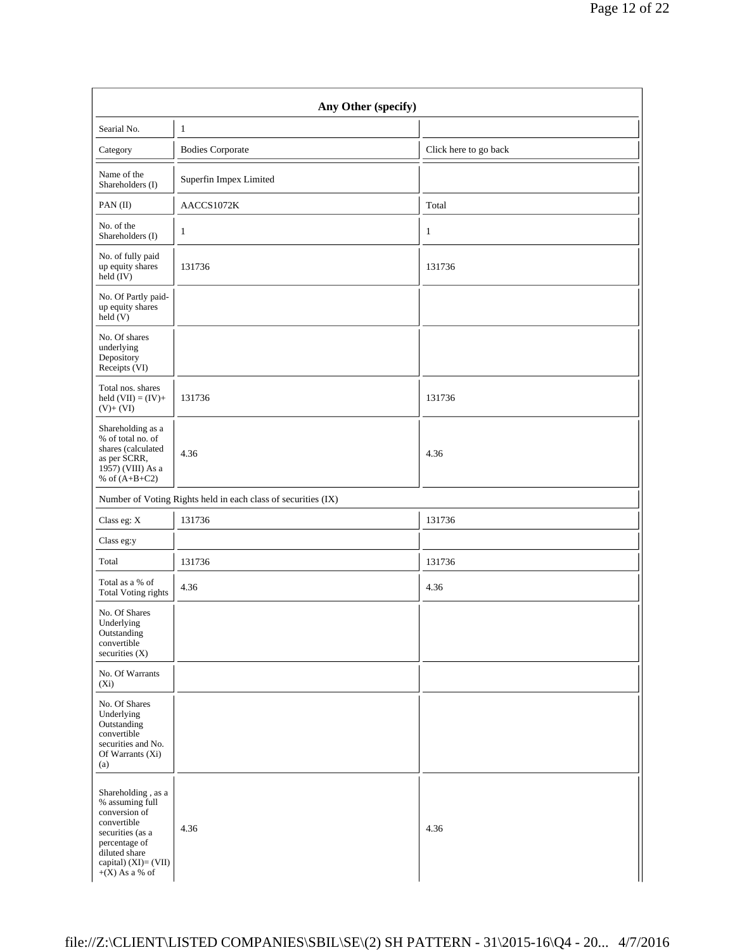|                                                                                                                                                                         | Any Other (specify)                                           |                       |
|-------------------------------------------------------------------------------------------------------------------------------------------------------------------------|---------------------------------------------------------------|-----------------------|
| Searial No.                                                                                                                                                             | $\mathbf{1}$                                                  |                       |
| Category                                                                                                                                                                | <b>Bodies Corporate</b>                                       | Click here to go back |
| Name of the<br>Shareholders (I)                                                                                                                                         | Superfin Impex Limited                                        |                       |
| PAN(II)                                                                                                                                                                 | AACCS1072K                                                    | Total                 |
| No. of the<br>Shareholders (I)                                                                                                                                          | 1                                                             | $\mathbf{1}$          |
| No. of fully paid<br>up equity shares<br>$\text{held (IV)}$                                                                                                             | 131736                                                        | 131736                |
| No. Of Partly paid-<br>up equity shares<br>held(V)                                                                                                                      |                                                               |                       |
| No. Of shares<br>underlying<br>Depository<br>Receipts (VI)                                                                                                              |                                                               |                       |
| Total nos. shares<br>held $(VII) = (IV) +$<br>$(V)+(VI)$                                                                                                                | 131736                                                        | 131736                |
| Shareholding as a<br>% of total no. of<br>shares (calculated<br>as per SCRR,<br>1957) (VIII) As a<br>% of $(A+B+C2)$                                                    | 4.36                                                          | 4.36                  |
|                                                                                                                                                                         | Number of Voting Rights held in each class of securities (IX) |                       |
| Class eg: X                                                                                                                                                             | 131736                                                        | 131736                |
| Class eg:y                                                                                                                                                              |                                                               |                       |
| Total                                                                                                                                                                   | 131736                                                        | 131736                |
| Total as a % of<br><b>Total Voting rights</b>                                                                                                                           | 4.36                                                          | 4.36                  |
| No. Of Shares<br>Underlying<br>Outstanding<br>convertible<br>securities (X)                                                                                             |                                                               |                       |
| No. Of Warrants<br>$(X_i)$                                                                                                                                              |                                                               |                       |
| No. Of Shares<br>Underlying<br>Outstanding<br>convertible<br>securities and No.<br>Of Warrants (Xi)<br>(a)                                                              |                                                               |                       |
| Shareholding, as a<br>% assuming full<br>conversion of<br>convertible<br>securities (as a<br>percentage of<br>diluted share<br>capital) (XI)= (VII)<br>$+(X)$ As a % of | 4.36                                                          | 4.36                  |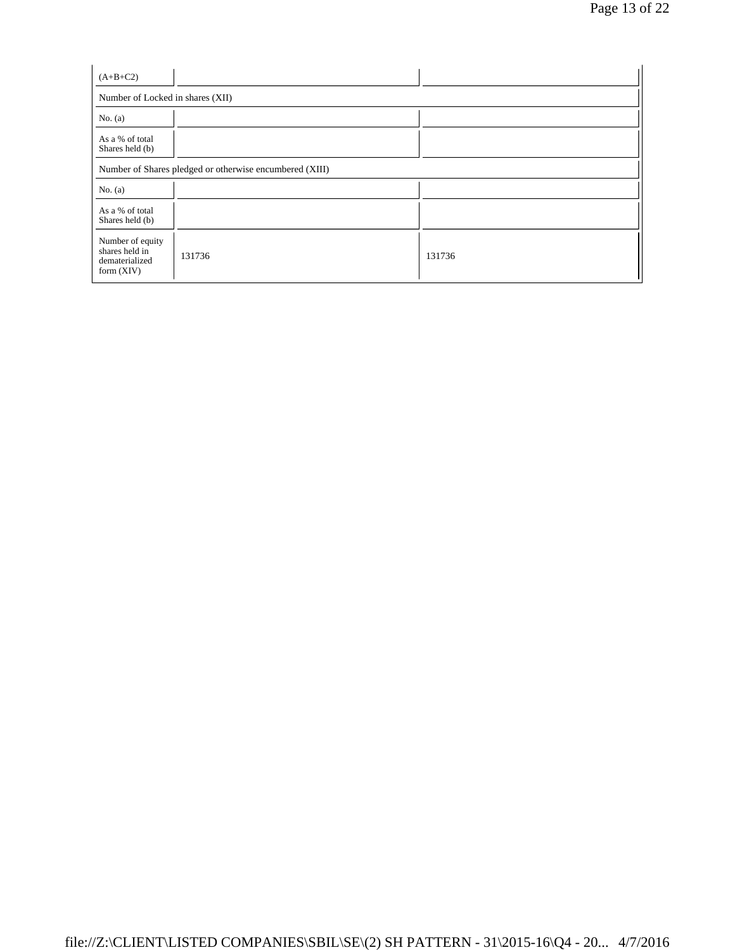| $(A+B+C2)$                                                           |        |        |  |  |  |  |
|----------------------------------------------------------------------|--------|--------|--|--|--|--|
| Number of Locked in shares (XII)                                     |        |        |  |  |  |  |
| No. $(a)$                                                            |        |        |  |  |  |  |
| As a % of total<br>Shares held (b)                                   |        |        |  |  |  |  |
| Number of Shares pledged or otherwise encumbered (XIII)              |        |        |  |  |  |  |
| No. $(a)$                                                            |        |        |  |  |  |  |
| As a % of total<br>Shares held (b)                                   |        |        |  |  |  |  |
| Number of equity<br>shares held in<br>dematerialized<br>form $(XIV)$ | 131736 | 131736 |  |  |  |  |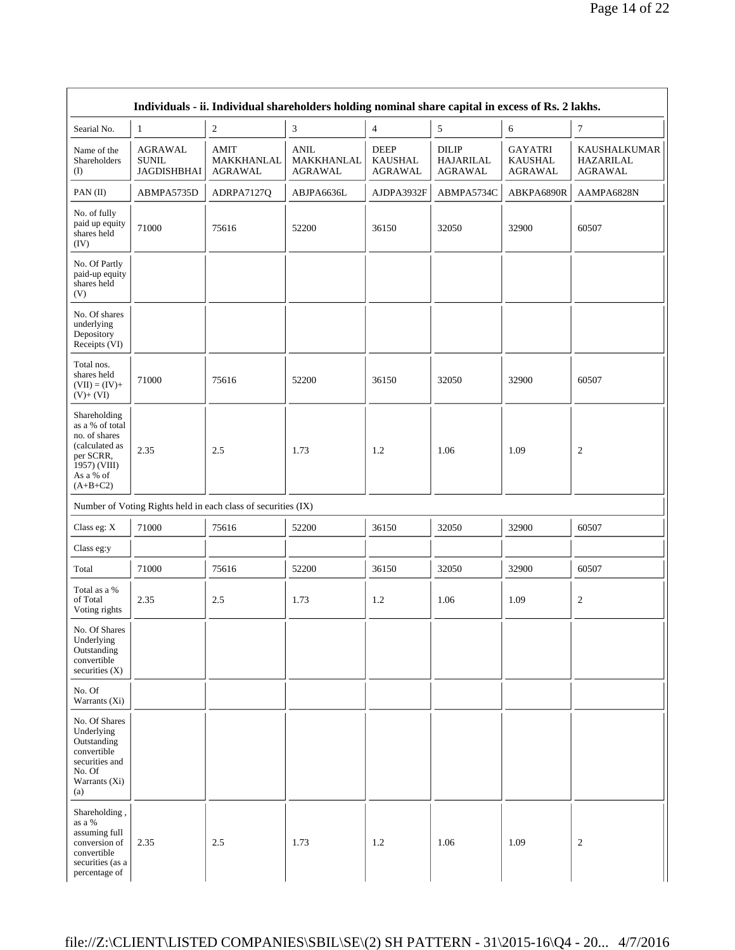|                                                                                                                            | Individuals - ii. Individual shareholders holding nominal share capital in excess of Rs. 2 lakhs. |                                                               |                                             |                                                 |                                             |                                             |                                      |
|----------------------------------------------------------------------------------------------------------------------------|---------------------------------------------------------------------------------------------------|---------------------------------------------------------------|---------------------------------------------|-------------------------------------------------|---------------------------------------------|---------------------------------------------|--------------------------------------|
| Searial No.                                                                                                                | $\mathbf{1}$                                                                                      | $\overline{2}$                                                | 3                                           | $\overline{4}$                                  | 5                                           | 6                                           | $\tau$                               |
| Name of the<br>Shareholders<br>$\textcircled{1}$                                                                           | AGRAWAL<br><b>SUNIL</b><br><b>JAGDISHBHAI</b>                                                     | <b>AMIT</b><br>MAKKHANLAL<br>AGRAWAL                          | <b>ANIL</b><br>MAKKHANLAL<br><b>AGRAWAL</b> | <b>DEEP</b><br><b>KAUSHAL</b><br><b>AGRAWAL</b> | <b>DILIP</b><br><b>HAJARILAL</b><br>AGRAWAL | GAYATRI<br><b>KAUSHAL</b><br><b>AGRAWAL</b> | KAUSHALKUMAR<br>HAZARILAL<br>AGRAWAL |
| PAN(II)                                                                                                                    | ABMPA5735D                                                                                        | ADRPA7127Q                                                    | ABJPA6636L                                  | AJDPA3932F                                      | ABMPA5734C                                  | ABKPA6890R                                  | AAMPA6828N                           |
| No. of fully<br>paid up equity<br>shares held<br>(IV)                                                                      | 71000                                                                                             | 75616                                                         | 52200                                       | 36150                                           | 32050                                       | 32900                                       | 60507                                |
| No. Of Partly<br>paid-up equity<br>shares held<br>(V)                                                                      |                                                                                                   |                                                               |                                             |                                                 |                                             |                                             |                                      |
| No. Of shares<br>underlying<br>Depository<br>Receipts (VI)                                                                 |                                                                                                   |                                                               |                                             |                                                 |                                             |                                             |                                      |
| Total nos.<br>shares held<br>$(VII) = (IV) +$<br>$(V)+(VI)$                                                                | 71000                                                                                             | 75616                                                         | 52200                                       | 36150                                           | 32050                                       | 32900                                       | 60507                                |
| Shareholding<br>as a % of total<br>no. of shares<br>(calculated as<br>per SCRR,<br>1957) (VIII)<br>As a % of<br>$(A+B+C2)$ | 2.35                                                                                              | 2.5                                                           | 1.73                                        | 1.2                                             | 1.06                                        | 1.09                                        | 2                                    |
|                                                                                                                            |                                                                                                   | Number of Voting Rights held in each class of securities (IX) |                                             |                                                 |                                             |                                             |                                      |
| Class eg: X                                                                                                                | 71000                                                                                             | 75616                                                         | 52200                                       | 36150                                           | 32050                                       | 32900                                       | 60507                                |
| Class eg:y                                                                                                                 |                                                                                                   |                                                               |                                             |                                                 |                                             |                                             |                                      |
| Total                                                                                                                      | 71000                                                                                             | 75616                                                         | 52200                                       | 36150                                           | 32050                                       | 32900                                       | 60507                                |
| Total as a %<br>of Total<br>Voting rights                                                                                  | 2.35                                                                                              | 2.5                                                           | 1.73                                        | 1.2                                             | 1.06                                        | 1.09                                        | $\overline{2}$                       |
| No. Of Shares<br>Underlying<br>Outstanding<br>convertible<br>securities $(X)$                                              |                                                                                                   |                                                               |                                             |                                                 |                                             |                                             |                                      |
| No. Of<br>Warrants (Xi)                                                                                                    |                                                                                                   |                                                               |                                             |                                                 |                                             |                                             |                                      |
| No. Of Shares<br>Underlying<br>Outstanding<br>convertible<br>securities and<br>No. Of<br>Warrants (Xi)<br>(a)              |                                                                                                   |                                                               |                                             |                                                 |                                             |                                             |                                      |
| Shareholding,<br>as a %<br>assuming full<br>conversion of<br>convertible<br>securities (as a<br>percentage of              | 2.35                                                                                              | 2.5                                                           | 1.73                                        | 1.2                                             | 1.06                                        | 1.09                                        | $\sqrt{2}$                           |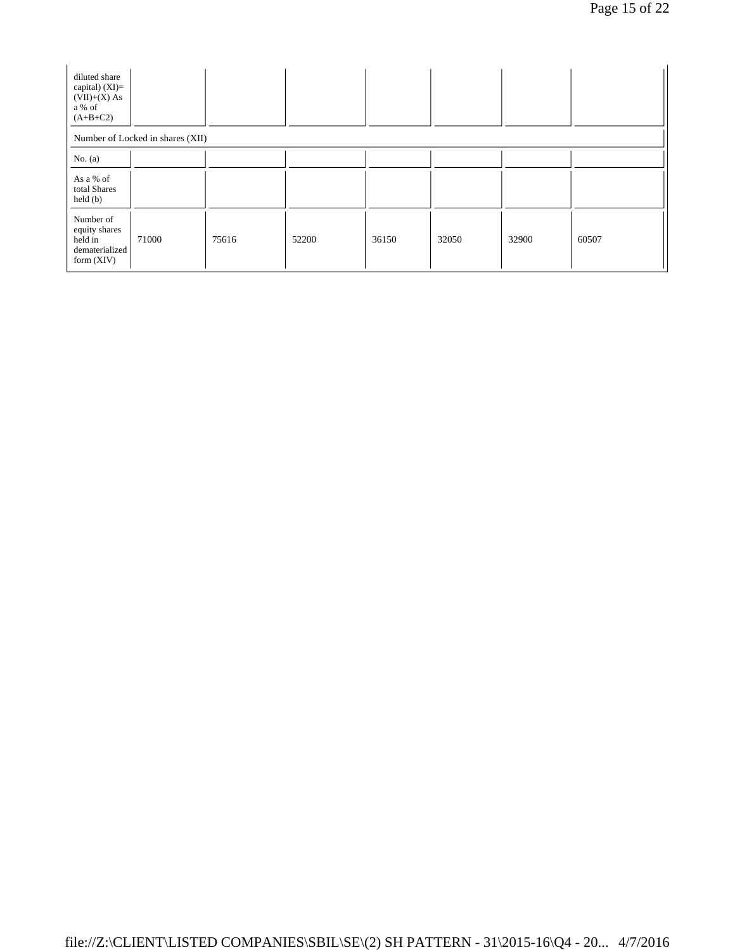| diluted share<br>capital) $(XI)=$<br>$(VII)+(X)$ As<br>a % of<br>$(A+B+C2)$ |                                  |       |       |       |       |       |       |
|-----------------------------------------------------------------------------|----------------------------------|-------|-------|-------|-------|-------|-------|
|                                                                             | Number of Locked in shares (XII) |       |       |       |       |       |       |
| No. $(a)$                                                                   |                                  |       |       |       |       |       |       |
| As a % of<br>total Shares<br>$\text{held}(\text{b})$                        |                                  |       |       |       |       |       |       |
| Number of<br>equity shares<br>held in<br>dematerialized<br>form $(XIV)$     | 71000                            | 75616 | 52200 | 36150 | 32050 | 32900 | 60507 |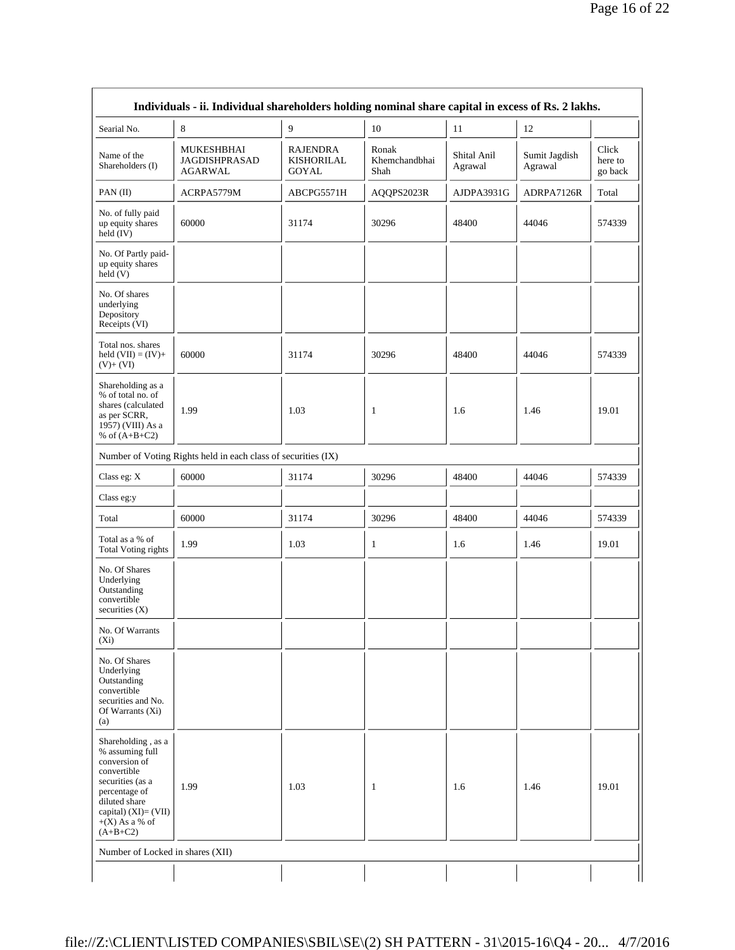|                                                                                                                                                                                       | Individuals - ii. Individual shareholders holding nominal share capital in excess of Rs. 2 lakhs. |                                               |                                |                        |                          |                             |
|---------------------------------------------------------------------------------------------------------------------------------------------------------------------------------------|---------------------------------------------------------------------------------------------------|-----------------------------------------------|--------------------------------|------------------------|--------------------------|-----------------------------|
| Searial No.                                                                                                                                                                           | 8                                                                                                 | 9                                             | 10                             | 11                     | 12                       |                             |
| Name of the<br>Shareholders (I)                                                                                                                                                       | <b>MUKESHBHAI</b><br><b>JAGDISHPRASAD</b><br><b>AGARWAL</b>                                       | <b>RAJENDRA</b><br><b>KISHORILAL</b><br>GOYAL | Ronak<br>Khemchandbhai<br>Shah | Shital Anil<br>Agrawal | Sumit Jagdish<br>Agrawal | Click<br>here to<br>go back |
| PAN(II)                                                                                                                                                                               | ACRPA5779M                                                                                        | ABCPG5571H                                    | AQQPS2023R                     | AJDPA3931G             | ADRPA7126R               | Total                       |
| No. of fully paid<br>up equity shares<br>held $(IV)$                                                                                                                                  | 60000                                                                                             | 31174                                         | 30296                          | 48400                  | 44046                    | 574339                      |
| No. Of Partly paid-<br>up equity shares<br>held(V)                                                                                                                                    |                                                                                                   |                                               |                                |                        |                          |                             |
| No. Of shares<br>underlying<br>Depository<br>Receipts (VI)                                                                                                                            |                                                                                                   |                                               |                                |                        |                          |                             |
| Total nos. shares<br>held $(VII) = (IV) +$<br>$(V)+(VI)$                                                                                                                              | 60000                                                                                             | 31174                                         | 30296                          | 48400                  | 44046                    | 574339                      |
| Shareholding as a<br>% of total no. of<br>shares (calculated<br>as per SCRR,<br>1957) (VIII) As a<br>% of $(A+B+C2)$                                                                  | 1.99                                                                                              | 1.03                                          | 1                              | 1.6                    | 1.46                     | 19.01                       |
|                                                                                                                                                                                       | Number of Voting Rights held in each class of securities (IX)                                     |                                               |                                |                        |                          |                             |
| Class eg: X                                                                                                                                                                           | 60000                                                                                             | 31174                                         | 30296                          | 48400                  | 44046                    | 574339                      |
| Class eg:y                                                                                                                                                                            |                                                                                                   |                                               |                                |                        |                          |                             |
| Total                                                                                                                                                                                 | 60000                                                                                             | 31174                                         | 30296                          | 48400                  | 44046                    | 574339                      |
| Total as a % of<br><b>Total Voting rights</b>                                                                                                                                         | 1.99                                                                                              | 1.03                                          | 1                              | 1.6                    | 1.46                     | 19.01                       |
| No. Of Shares<br>Underlying<br>Outstanding<br>convertible<br>securities $(X)$                                                                                                         |                                                                                                   |                                               |                                |                        |                          |                             |
| No. Of Warrants<br>$(X_i)$                                                                                                                                                            |                                                                                                   |                                               |                                |                        |                          |                             |
| No. Of Shares<br>Underlying<br>Outstanding<br>convertible<br>securities and No.<br>Of Warrants (Xi)<br>(a)                                                                            |                                                                                                   |                                               |                                |                        |                          |                             |
| Shareholding, as a<br>% assuming full<br>conversion of<br>convertible<br>securities (as a<br>percentage of<br>diluted share<br>capital) (XI)= (VII)<br>$+(X)$ As a % of<br>$(A+B+C2)$ | 1.99                                                                                              | 1.03                                          | 1                              | 1.6                    | 1.46                     | 19.01                       |
| Number of Locked in shares (XII)                                                                                                                                                      |                                                                                                   |                                               |                                |                        |                          |                             |
|                                                                                                                                                                                       |                                                                                                   |                                               |                                |                        |                          |                             |

 $\Gamma$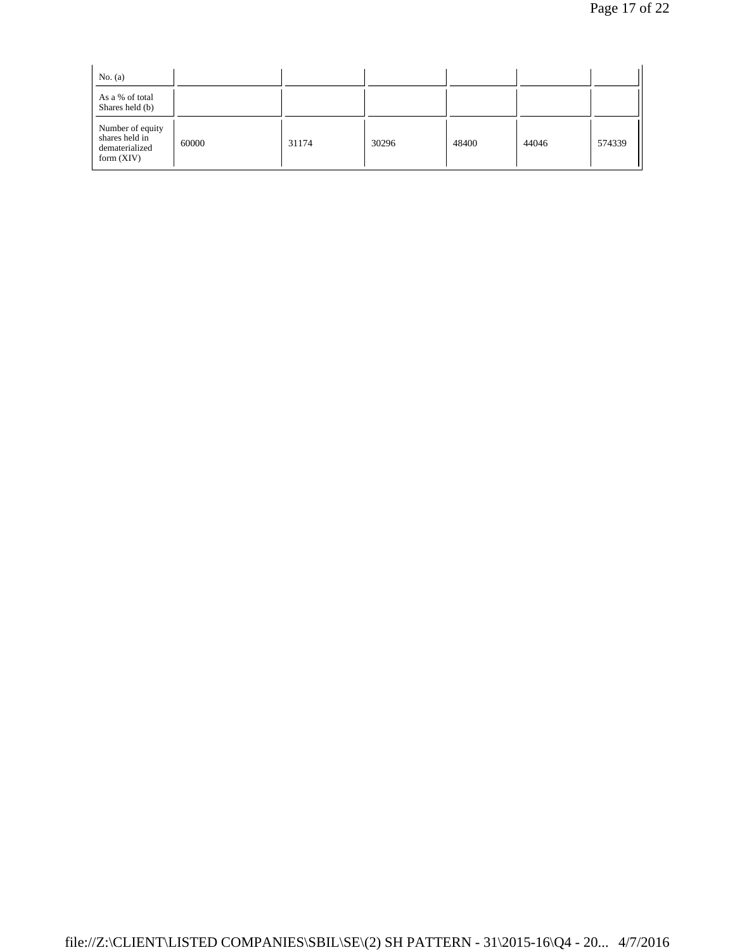| No. $(a)$                                                            |       |       |       |       |       |        |
|----------------------------------------------------------------------|-------|-------|-------|-------|-------|--------|
| As a % of total<br>Shares held (b)                                   |       |       |       |       |       |        |
| Number of equity<br>shares held in<br>dematerialized<br>form $(XIV)$ | 60000 | 31174 | 30296 | 48400 | 44046 | 574339 |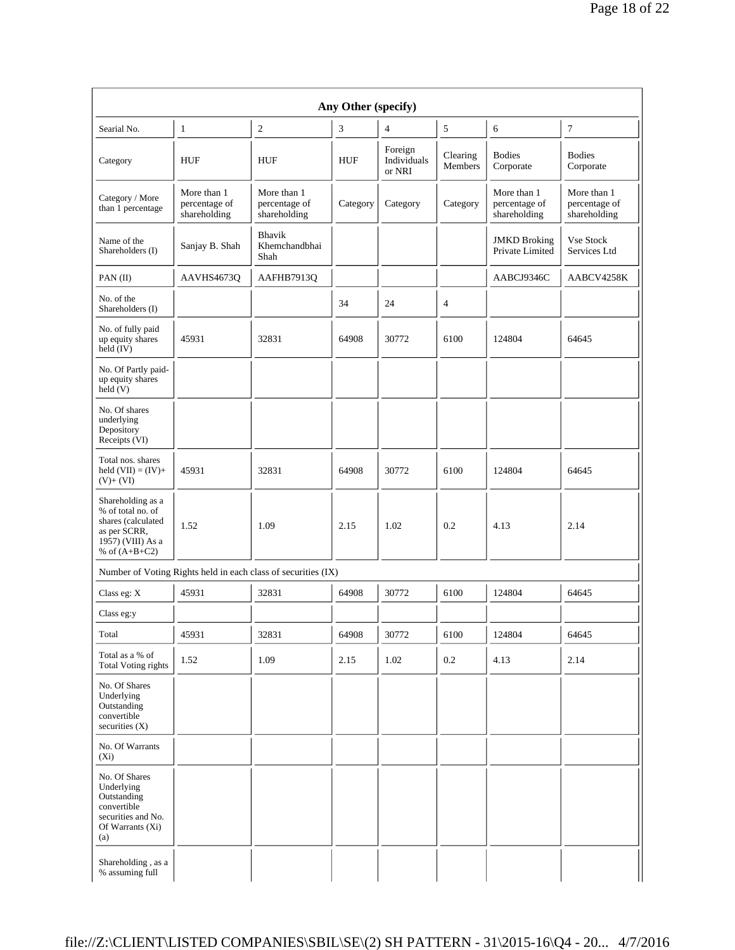| Any Other (specify)                                                                                                  |                                              |                                                               |            |                                  |                     |                                              |                                              |
|----------------------------------------------------------------------------------------------------------------------|----------------------------------------------|---------------------------------------------------------------|------------|----------------------------------|---------------------|----------------------------------------------|----------------------------------------------|
| Searial No.                                                                                                          | $\mathbf{1}$                                 | $\mathfrak{2}$                                                | 3          | $\overline{4}$                   | 5                   | 6                                            | $\tau$                                       |
| Category                                                                                                             | <b>HUF</b>                                   | <b>HUF</b>                                                    | <b>HUF</b> | Foreign<br>Individuals<br>or NRI | Clearing<br>Members | <b>Bodies</b><br>Corporate                   | <b>Bodies</b><br>Corporate                   |
| Category / More<br>than 1 percentage                                                                                 | More than 1<br>percentage of<br>shareholding | More than 1<br>percentage of<br>shareholding                  | Category   | Category                         | Category            | More than 1<br>percentage of<br>shareholding | More than 1<br>percentage of<br>shareholding |
| Name of the<br>Shareholders (I)                                                                                      | Sanjay B. Shah                               | Bhavik<br>Khemchandbhai<br>Shah                               |            |                                  |                     | <b>JMKD Broking</b><br>Private Limited       | Vse Stock<br>Services Ltd                    |
| PAN(II)                                                                                                              | AAVHS4673Q                                   | AAFHB7913Q                                                    |            |                                  |                     | AABCJ9346C                                   | AABCV4258K                                   |
| No. of the<br>Shareholders (I)                                                                                       |                                              |                                                               | 34         | 24                               | $\overline{4}$      |                                              |                                              |
| No. of fully paid<br>up equity shares<br>held $(IV)$                                                                 | 45931                                        | 32831                                                         | 64908      | 30772                            | 6100                | 124804                                       | 64645                                        |
| No. Of Partly paid-<br>up equity shares<br>$\text{held}$ (V)                                                         |                                              |                                                               |            |                                  |                     |                                              |                                              |
| No. Of shares<br>underlying<br>Depository<br>Receipts (VI)                                                           |                                              |                                                               |            |                                  |                     |                                              |                                              |
| Total nos. shares<br>held $(VII) = (IV) +$<br>$(V)+(VI)$                                                             | 45931                                        | 32831                                                         | 64908      | 30772                            | 6100                | 124804                                       | 64645                                        |
| Shareholding as a<br>% of total no. of<br>shares (calculated<br>as per SCRR,<br>1957) (VIII) As a<br>% of $(A+B+C2)$ | 1.52                                         | 1.09                                                          | 2.15       | 1.02                             | 0.2                 | 4.13                                         | 2.14                                         |
|                                                                                                                      |                                              | Number of Voting Rights held in each class of securities (IX) |            |                                  |                     |                                              |                                              |
| Class eg: $X$                                                                                                        | 45931                                        | 32831                                                         | 64908      | 30772                            | 6100                | 124804                                       | 64645                                        |
| Class eg:y                                                                                                           |                                              |                                                               |            |                                  |                     |                                              |                                              |
| Total                                                                                                                | 45931                                        | 32831                                                         | 64908      | 30772                            | 6100                | 124804                                       | 64645                                        |
| Total as a % of<br><b>Total Voting rights</b>                                                                        | 1.52                                         | 1.09                                                          | 2.15       | 1.02                             | $0.2\,$             | 4.13                                         | 2.14                                         |
| No. Of Shares<br>Underlying<br>Outstanding<br>convertible<br>securities $(X)$                                        |                                              |                                                               |            |                                  |                     |                                              |                                              |
| No. Of Warrants<br>$(X_i)$                                                                                           |                                              |                                                               |            |                                  |                     |                                              |                                              |
| No. Of Shares<br>Underlying<br>Outstanding<br>convertible<br>securities and No.<br>Of Warrants (Xi)<br>(a)           |                                              |                                                               |            |                                  |                     |                                              |                                              |
| Shareholding, as a<br>% assuming full                                                                                |                                              |                                                               |            |                                  |                     |                                              |                                              |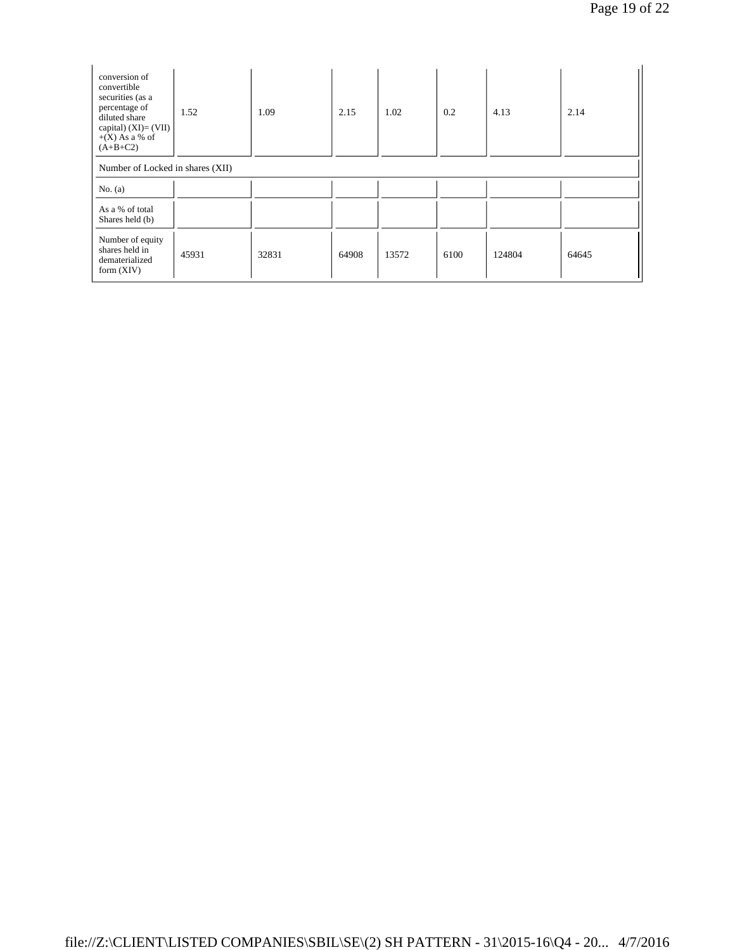| conversion of<br>convertible<br>securities (as a<br>percentage of<br>diluted share<br>capital) $(XI) = (VII)$<br>$+(X)$ As a % of<br>$(A+B+C2)$ | 1.52                             | 1.09  | 2.15  | 1.02  | 0.2  | 4.13   | 2.14  |
|-------------------------------------------------------------------------------------------------------------------------------------------------|----------------------------------|-------|-------|-------|------|--------|-------|
|                                                                                                                                                 | Number of Locked in shares (XII) |       |       |       |      |        |       |
| No. $(a)$                                                                                                                                       |                                  |       |       |       |      |        |       |
| As a % of total<br>Shares held (b)                                                                                                              |                                  |       |       |       |      |        |       |
| Number of equity<br>shares held in<br>dematerialized<br>form $(XIV)$                                                                            | 45931                            | 32831 | 64908 | 13572 | 6100 | 124804 | 64645 |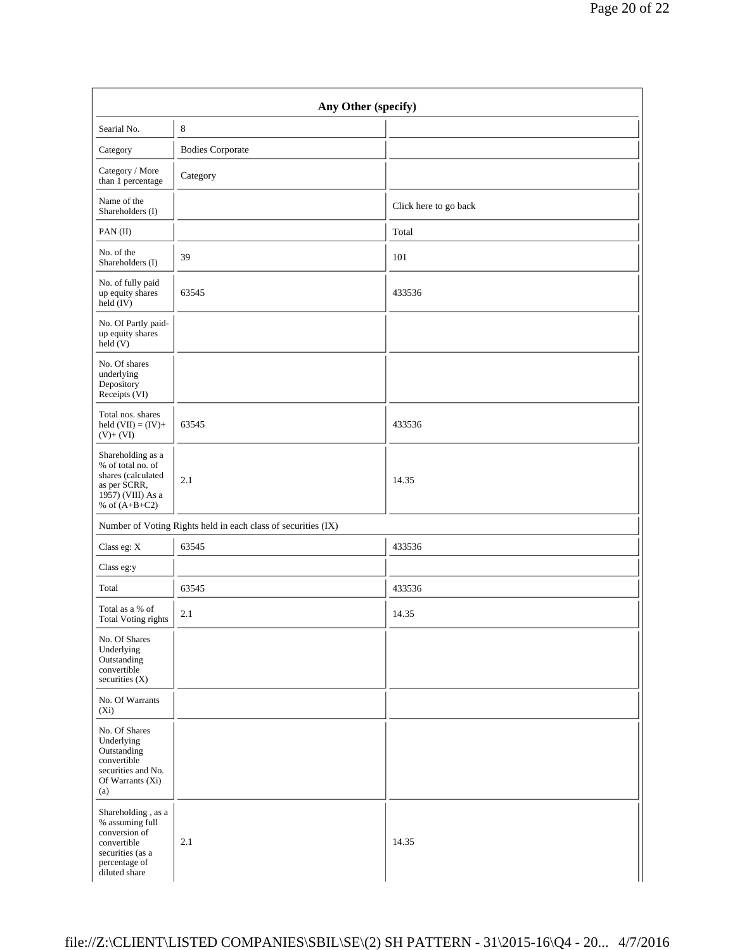|                                                                                                                             | Any Other (specify)                                           |                       |  |  |  |  |  |  |
|-----------------------------------------------------------------------------------------------------------------------------|---------------------------------------------------------------|-----------------------|--|--|--|--|--|--|
| Searial No.                                                                                                                 | 8                                                             |                       |  |  |  |  |  |  |
| Category                                                                                                                    | <b>Bodies Corporate</b>                                       |                       |  |  |  |  |  |  |
| Category / More<br>than 1 percentage                                                                                        | Category                                                      |                       |  |  |  |  |  |  |
| Name of the<br>Shareholders (I)                                                                                             |                                                               | Click here to go back |  |  |  |  |  |  |
| PAN(II)                                                                                                                     |                                                               | Total                 |  |  |  |  |  |  |
| No. of the<br>Shareholders (I)                                                                                              | 39                                                            | 101                   |  |  |  |  |  |  |
| No. of fully paid<br>up equity shares<br>held (IV)                                                                          | 63545                                                         | 433536                |  |  |  |  |  |  |
| No. Of Partly paid-<br>up equity shares<br>held (V)                                                                         |                                                               |                       |  |  |  |  |  |  |
| No. Of shares<br>underlying<br>Depository<br>Receipts (VI)                                                                  |                                                               |                       |  |  |  |  |  |  |
| Total nos. shares<br>held $(VII) = (IV) +$<br>$(V)+(VI)$                                                                    | 63545                                                         | 433536                |  |  |  |  |  |  |
| Shareholding as a<br>% of total no. of<br>shares (calculated<br>as per SCRR,<br>1957) (VIII) As a<br>% of $(A+B+C2)$        | 2.1                                                           | 14.35                 |  |  |  |  |  |  |
|                                                                                                                             | Number of Voting Rights held in each class of securities (IX) |                       |  |  |  |  |  |  |
| Class eg: X                                                                                                                 | 63545                                                         | 433536                |  |  |  |  |  |  |
| Class eg:y                                                                                                                  |                                                               |                       |  |  |  |  |  |  |
| Total                                                                                                                       | 63545                                                         | 433536                |  |  |  |  |  |  |
| Total as a % of<br><b>Total Voting rights</b>                                                                               | 2.1                                                           | 14.35                 |  |  |  |  |  |  |
| No. Of Shares<br>Underlying<br>Outstanding<br>convertible<br>securities $(X)$                                               |                                                               |                       |  |  |  |  |  |  |
| No. Of Warrants<br>$(X_i)$                                                                                                  |                                                               |                       |  |  |  |  |  |  |
| No. Of Shares<br>Underlying<br>Outstanding<br>convertible<br>securities and No.<br>Of Warrants (Xi)<br>(a)                  |                                                               |                       |  |  |  |  |  |  |
| Shareholding, as a<br>% assuming full<br>conversion of<br>convertible<br>securities (as a<br>percentage of<br>diluted share | 2.1                                                           | 14.35                 |  |  |  |  |  |  |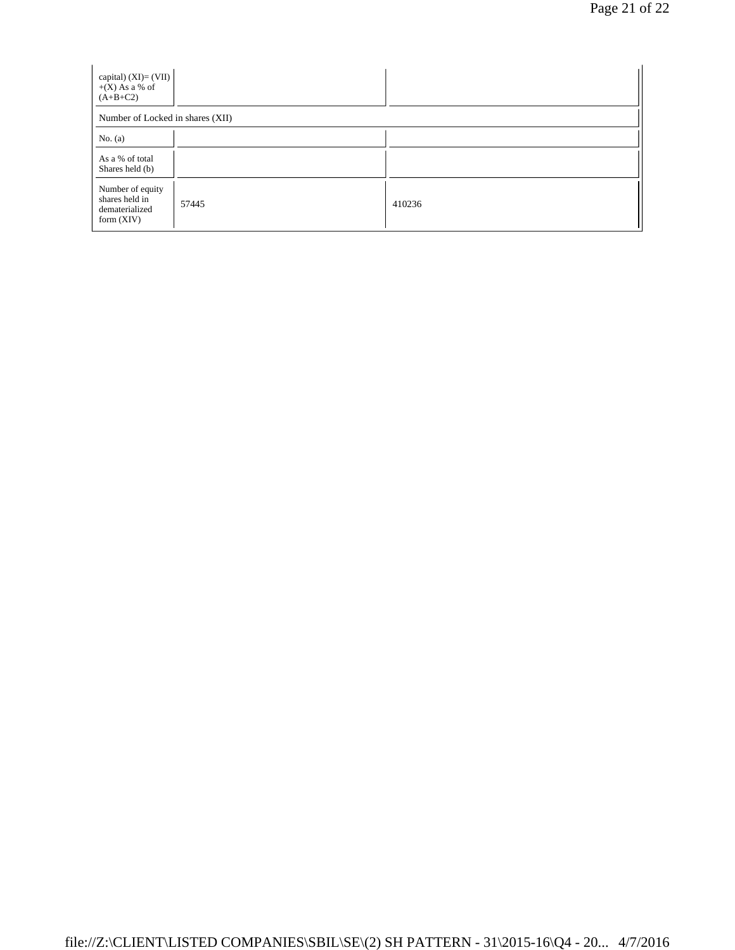| capital) $(XI) = (VII)$<br>$+(X)$ As a % of<br>$(A+B+C2)$            |       |        |
|----------------------------------------------------------------------|-------|--------|
| Number of Locked in shares (XII)                                     |       |        |
| No. $(a)$                                                            |       |        |
| As a % of total<br>Shares held (b)                                   |       |        |
| Number of equity<br>shares held in<br>dematerialized<br>form $(XIV)$ | 57445 | 410236 |